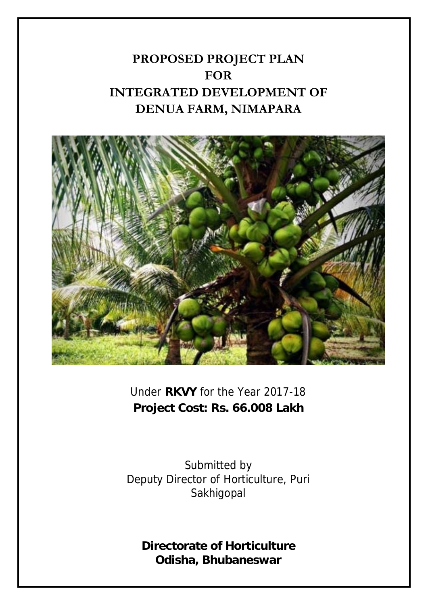# **PROPOSED PROJECT PLAN FOR INTEGRATED DEVELOPMENT OF DENUA FARM, NIMAPARA**



Under **RKVY** for the Year 2017-18 **Project Cost: Rs. 66.008 Lakh** 

Submitted by Deputy Director of Horticulture, Puri **Sakhigopal** 

**Directorate of Horticulture Odisha, Bhubaneswar**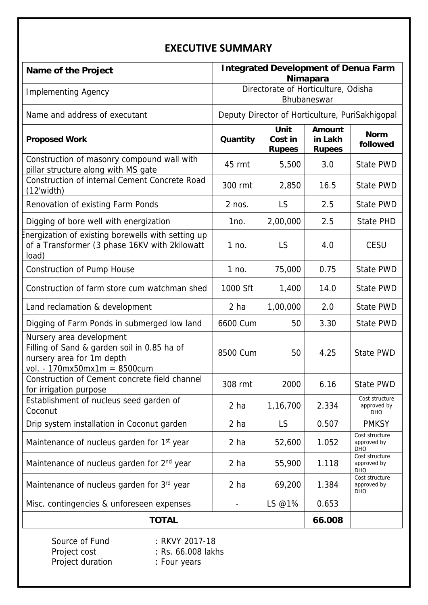## **EXECUTIVE SUMMARY**

| Name of the Project                                                                                                                  | <b>Integrated Development of Denua Farm</b><br><b>Nimapara</b> |                                  |                                           |                                             |
|--------------------------------------------------------------------------------------------------------------------------------------|----------------------------------------------------------------|----------------------------------|-------------------------------------------|---------------------------------------------|
| <b>Implementing Agency</b>                                                                                                           | Directorate of Horticulture, Odisha<br>Bhubaneswar             |                                  |                                           |                                             |
| Name and address of executant                                                                                                        | Deputy Director of Horticulture, PuriSakhigopal                |                                  |                                           |                                             |
| <b>Proposed Work</b>                                                                                                                 | Quantity                                                       | Unit<br>Cost in<br><b>Rupees</b> | <b>Amount</b><br>in Lakh<br><b>Rupees</b> | <b>Norm</b><br>followed                     |
| Construction of masonry compound wall with<br>pillar structure along with MS gate                                                    | 45 rmt                                                         | 5,500                            | 3.0                                       | State PWD                                   |
| Construction of internal Cement Concrete Road<br>(12'width)                                                                          | 300 rmt                                                        | 2,850                            | 16.5                                      | State PWD                                   |
| Renovation of existing Farm Ponds                                                                                                    | $2$ nos.                                                       | <b>LS</b>                        | 2.5                                       | <b>State PWD</b>                            |
| Digging of bore well with energization                                                                                               | 1no.                                                           | 2,00,000                         | 2.5                                       | <b>State PHD</b>                            |
| Inergization of existing borewells with setting up<br>of a Transformer (3 phase 16KV with 2kilowatt<br>load)                         | 1 no.                                                          | LS                               | 4.0                                       | <b>CESU</b>                                 |
| <b>Construction of Pump House</b>                                                                                                    | 1 no.                                                          | 75,000                           | 0.75                                      | <b>State PWD</b>                            |
| Construction of farm store cum watchman shed                                                                                         | 1000 Sft                                                       | 1,400                            | 14.0                                      | State PWD                                   |
| Land reclamation & development                                                                                                       | 2 ha                                                           | 1,00,000                         | 2.0                                       | State PWD                                   |
| Digging of Farm Ponds in submerged low land                                                                                          | 6600 Cum                                                       | 50                               | 3.30                                      | State PWD                                   |
| Nursery area development<br>Filling of Sand & garden soil in 0.85 ha of<br>nursery area for 1m depth<br>vol. - 170mx50mx1m = 8500cum | 8500 Cum                                                       | 50                               | 4.25                                      | State PWD                                   |
| Construction of Cement concrete field channel<br>for irrigation purpose                                                              | 308 rmt                                                        | 2000                             | 6.16                                      | State PWD                                   |
| Establishment of nucleus seed garden of<br>Coconut                                                                                   | 2 ha                                                           | 1,16,700                         | 2.334                                     | Cost structure<br>approved by<br>DHO        |
| Drip system installation in Coconut garden                                                                                           | 2 <sub>ha</sub>                                                | <b>LS</b>                        | 0.507                                     | <b>PMKSY</b>                                |
| Maintenance of nucleus garden for 1 <sup>st</sup> year                                                                               | 2 ha                                                           | 52,600                           | 1.052                                     | Cost structure<br>approved by<br><b>DHO</b> |
| Maintenance of nucleus garden for 2 <sup>nd</sup> year                                                                               | 2 ha                                                           | 55,900                           | 1.118                                     | Cost structure<br>approved by<br><b>DHO</b> |
| Maintenance of nucleus garden for 3rd year                                                                                           | 2 <sub>ha</sub>                                                | 69,200                           | 1.384                                     | Cost structure<br>approved by<br><b>DHO</b> |
| Misc. contingencies & unforeseen expenses                                                                                            |                                                                | LS @1%                           | 0.653                                     |                                             |
| <b>TOTAL</b>                                                                                                                         |                                                                |                                  |                                           |                                             |
| Source of Fund<br>: RKVY 2017-18<br>Project cost<br>: Rs. 66.008 lakhs<br>Project duration<br>: Four years                           |                                                                |                                  |                                           |                                             |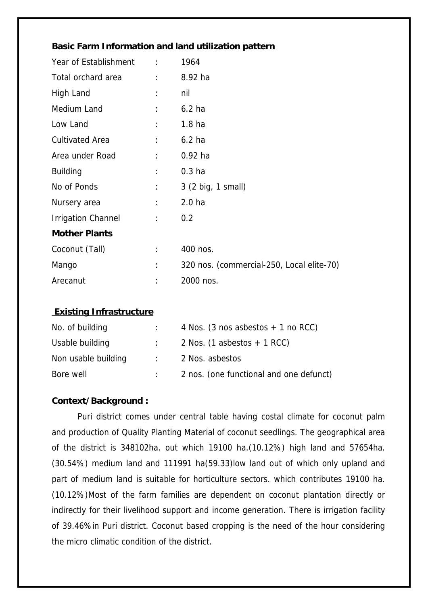| Year of Establishment :   |                      | 1964                                      |
|---------------------------|----------------------|-------------------------------------------|
| Total orchard area        | $\ddot{\phantom{0}}$ | 8.92 ha                                   |
| High Land                 | ÷                    | nil                                       |
| Medium Land               | $\ddot{\cdot}$       | 6.2 <sub>ha</sub>                         |
| Low Land                  | ÷                    | 1.8 <sub>ha</sub>                         |
| <b>Cultivated Area</b>    | $\ddot{\phantom{a}}$ | $6.2$ ha                                  |
| Area under Road           | $\ddot{\cdot}$       | $0.92$ ha                                 |
| <b>Building</b>           | $\ddot{\phantom{a}}$ | 0.3 <sub>ha</sub>                         |
| No of Ponds               | $\ddot{\cdot}$       | 3 (2 big, 1 small)                        |
| Nursery area              | ÷                    | 2.0 <sub>ha</sub>                         |
| <b>Irrigation Channel</b> | $\ddot{\phantom{a}}$ | 0.2                                       |
| <b>Mother Plants</b>      |                      |                                           |
| Coconut (Tall)            | ÷                    | 400 nos.                                  |
| Mango                     | ÷                    | 320 nos. (commercial-250, Local elite-70) |
| Arecanut                  |                      | 2000 nos.                                 |

#### **Existing Infrastructure**

| No. of building     |                            | 4 Nos. (3 nos asbestos $+$ 1 no RCC)    |
|---------------------|----------------------------|-----------------------------------------|
| Usable building     |                            | 2 Nos. $(1$ asbestos $+$ 1 RCC)         |
| Non usable building | $\mathcal{L}(\mathcal{L})$ | 2 Nos. asbestos                         |
| Bore well           |                            | 2 nos. (one functional and one defunct) |

#### **Context/Background :**

Puri district comes under central table having costal climate for coconut palm and production of Quality Planting Material of coconut seedlings. The geographical area of the district is 348102ha. out which 19100 ha.(10.12%) high land and 57654ha. (30.54%) medium land and 111991 ha(59.33)low land out of which only upland and part of medium land is suitable for horticulture sectors. which contributes 19100 ha. (10.12%)Most of the farm families are dependent on coconut plantation directly or indirectly for their livelihood support and income generation. There is irrigation facility of 39.46%in Puri district. Coconut based cropping is the need of the hour considering the micro climatic condition of the district.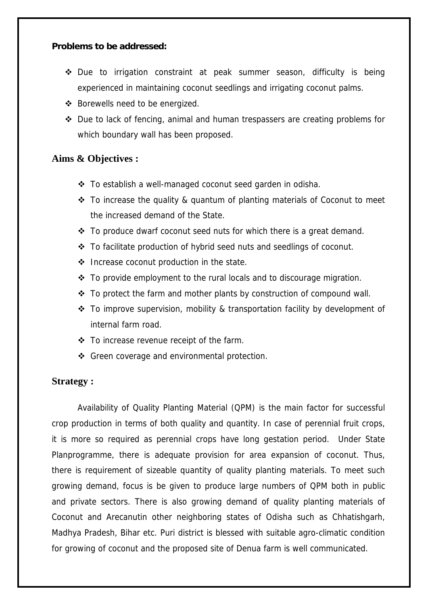#### **Problems to be addressed:**

- Due to irrigation constraint at peak summer season, difficulty is being experienced in maintaining coconut seedlings and irrigating coconut palms.
- Borewells need to be energized.
- Due to lack of fencing, animal and human trespassers are creating problems for which boundary wall has been proposed.

### **Aims & Objectives :**

- To establish a well-managed coconut seed garden in odisha.
- To increase the quality & quantum of planting materials of Coconut to meet the increased demand of the State.
- $\div$  To produce dwarf coconut seed nuts for which there is a great demand.
- To facilitate production of hybrid seed nuts and seedlings of coconut.
- ❖ Increase coconut production in the state.
- $\div$  To provide employment to the rural locals and to discourage migration.
- $\div$  To protect the farm and mother plants by construction of compound wall.
- To improve supervision, mobility & transportation facility by development of internal farm road.
- To increase revenue receipt of the farm.
- ❖ Green coverage and environmental protection.

#### **Strategy :**

Availability of Quality Planting Material (QPM) is the main factor for successful crop production in terms of both quality and quantity. In case of perennial fruit crops, it is more so required as perennial crops have long gestation period. Under State Planprogramme, there is adequate provision for area expansion of coconut. Thus, there is requirement of sizeable quantity of quality planting materials. To meet such growing demand, focus is be given to produce large numbers of QPM both in public and private sectors. There is also growing demand of quality planting materials of Coconut and Arecanutin other neighboring states of Odisha such as Chhatishgarh, Madhya Pradesh, Bihar etc. Puri district is blessed with suitable agro-climatic condition for growing of coconut and the proposed site of Denua farm is well communicated.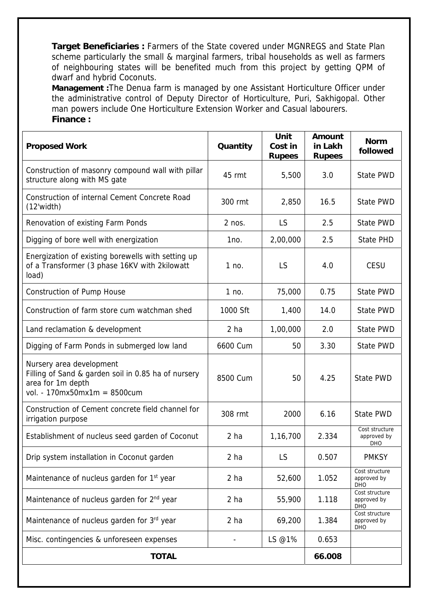**Target Beneficiaries :** Farmers of the State covered under MGNREGS and State Plan scheme particularly the small & marginal farmers, tribal households as well as farmers of neighbouring states will be benefited much from this project by getting QPM of dwarf and hybrid Coconuts.

**Management :**The Denua farm is managed by one Assistant Horticulture Officer under the administrative control of Deputy Director of Horticulture, Puri, Sakhigopal. Other man powers include One Horticulture Extension Worker and Casual labourers. **Finance :** 

| <b>Proposed Work</b>                                                                                                                 | Quantity        | Unit<br>Cost in<br><b>Rupees</b> | <b>Amount</b><br>in Lakh<br><b>Rupees</b> | <b>Norm</b><br>followed                     |
|--------------------------------------------------------------------------------------------------------------------------------------|-----------------|----------------------------------|-------------------------------------------|---------------------------------------------|
| Construction of masonry compound wall with pillar<br>structure along with MS gate                                                    | 45 rmt          | 5,500                            | 3.0                                       | State PWD                                   |
| Construction of internal Cement Concrete Road<br>$(12$ 'width)                                                                       | 300 rmt         | 2,850                            | 16.5                                      | <b>State PWD</b>                            |
| Renovation of existing Farm Ponds                                                                                                    | $2$ nos.        | LS                               | 2.5                                       | State PWD                                   |
| Digging of bore well with energization                                                                                               | 1no.            | 2,00,000                         | 2.5                                       | <b>State PHD</b>                            |
| Energization of existing borewells with setting up<br>of a Transformer (3 phase 16KV with 2kilowatt<br>load)                         | 1 no.           | <b>LS</b>                        | 4.0                                       | <b>CESU</b>                                 |
| <b>Construction of Pump House</b>                                                                                                    | 1 no.           | 75,000                           | 0.75                                      | State PWD                                   |
| Construction of farm store cum watchman shed                                                                                         | 1000 Sft        | 1,400                            | 14.0                                      | State PWD                                   |
| Land reclamation & development                                                                                                       | 2 <sub>ha</sub> | 1,00,000                         | 2.0                                       | State PWD                                   |
| Digging of Farm Ponds in submerged low land                                                                                          | 6600 Cum        | 50                               | 3.30                                      | State PWD                                   |
| Nursery area development<br>Filling of Sand & garden soil in 0.85 ha of nursery<br>area for 1m depth<br>vol. - 170mx50mx1m = 8500cum | 8500 Cum        | 50                               | 4.25                                      | State PWD                                   |
| Construction of Cement concrete field channel for<br>irrigation purpose                                                              | 308 rmt         | 2000                             | 6.16                                      | State PWD                                   |
| Establishment of nucleus seed garden of Coconut                                                                                      | 2 <sub>ha</sub> | 1,16,700                         | 2.334                                     | Cost structure<br>approved by<br><b>DHO</b> |
| Drip system installation in Coconut garden                                                                                           | 2 <sub>ha</sub> | LS                               | 0.507                                     | <b>PMKSY</b>                                |
| Maintenance of nucleus garden for 1 <sup>st</sup> year                                                                               | 2 <sub>ha</sub> | 52,600                           | 1.052                                     | Cost structure<br>approved by<br>DHO        |
| Maintenance of nucleus garden for 2 <sup>nd</sup> year                                                                               | 2 <sub>ha</sub> | 55,900                           | 1.118                                     | Cost structure<br>approved by<br><b>DHO</b> |
| Maintenance of nucleus garden for 3rd year                                                                                           | 2 <sub>ha</sub> | 69,200                           | 1.384                                     | Cost structure<br>approved by<br><b>DHO</b> |
| Misc. contingencies & unforeseen expenses                                                                                            |                 | LS @1%                           | 0.653                                     |                                             |
| <b>TOTAL</b>                                                                                                                         |                 |                                  |                                           |                                             |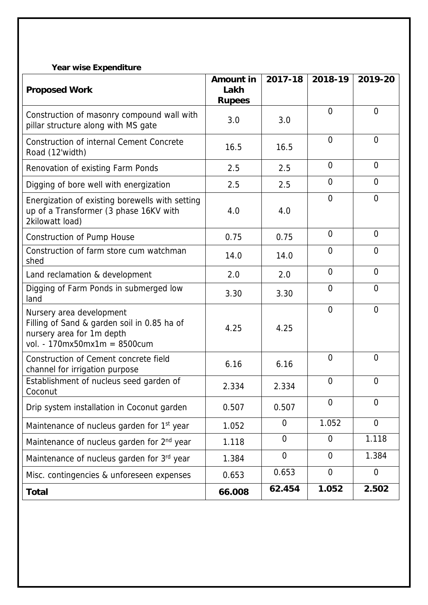### **Year wise Expenditure**

|                                                                                                                                      | <b>Amount in</b>      | 2017-18        | 2018-19        | 2019-20        |
|--------------------------------------------------------------------------------------------------------------------------------------|-----------------------|----------------|----------------|----------------|
| <b>Proposed Work</b>                                                                                                                 | Lakh<br><b>Rupees</b> |                |                |                |
| Construction of masonry compound wall with<br>pillar structure along with MS gate                                                    | 3.0                   | 3.0            | $\overline{0}$ | $\overline{0}$ |
| <b>Construction of internal Cement Concrete</b><br>Road (12'width)                                                                   | 16.5                  | 16.5           | $\overline{0}$ | $\overline{0}$ |
| Renovation of existing Farm Ponds                                                                                                    | 2.5                   | 2.5            | $\overline{0}$ | $\overline{0}$ |
| Digging of bore well with energization                                                                                               | 2.5                   | 2.5            | $\overline{0}$ | $\overline{0}$ |
| Energization of existing borewells with setting<br>up of a Transformer (3 phase 16KV with<br>2kilowatt load)                         | 4.0                   | 4.0            | $\Omega$       | $\Omega$       |
| <b>Construction of Pump House</b>                                                                                                    | 0.75                  | 0.75           | $\overline{0}$ | 0              |
| Construction of farm store cum watchman<br>shed                                                                                      | 14.0                  | 14.0           | $\Omega$       | $\Omega$       |
| Land reclamation & development                                                                                                       | 2.0                   | 2.0            | $\overline{0}$ | $\overline{0}$ |
| Digging of Farm Ponds in submerged low<br>land                                                                                       | 3.30                  | 3.30           | $\overline{0}$ | $\overline{0}$ |
| Nursery area development<br>Filling of Sand & garden soil in 0.85 ha of<br>nursery area for 1m depth<br>vol. - 170mx50mx1m = 8500cum | 4.25                  | 4.25           | $\Omega$       | $\overline{0}$ |
| Construction of Cement concrete field<br>channel for irrigation purpose                                                              | 6.16                  | 6.16           | $\Omega$       | $\overline{0}$ |
| Establishment of nucleus seed garden of<br>Coconut                                                                                   | 2.334                 | 2.334          | $\overline{0}$ | $\overline{0}$ |
| Drip system installation in Coconut garden                                                                                           | 0.507                 | 0.507          | $\overline{0}$ | $\overline{0}$ |
| Maintenance of nucleus garden for 1 <sup>st</sup> year                                                                               | 1.052                 | $\overline{0}$ | 1.052          | $\overline{0}$ |
| Maintenance of nucleus garden for 2 <sup>nd</sup> year                                                                               | 1.118                 | $\overline{0}$ | $\overline{0}$ | 1.118          |
| Maintenance of nucleus garden for 3rd year                                                                                           | 1.384                 | $\mathbf 0$    | $\overline{0}$ | 1.384          |
| Misc. contingencies & unforeseen expenses                                                                                            | 0.653                 | 0.653          | $\overline{0}$ | $\overline{0}$ |
| <b>Total</b>                                                                                                                         | 66.008                | 62.454         | 1.052          | 2.502          |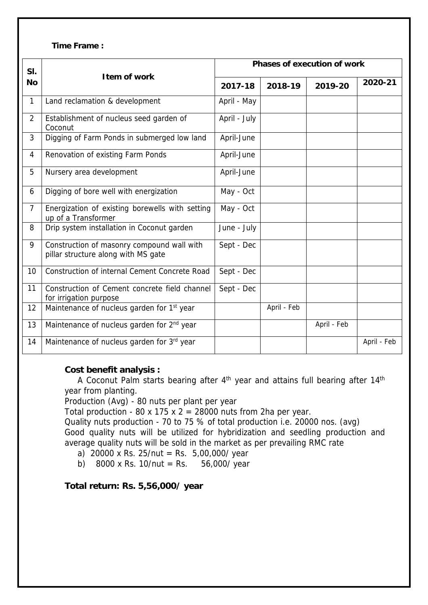#### **Time Frame :**

| SI.            | I tem of work                                                                     | <b>Phases of execution of work</b> |             |             |             |
|----------------|-----------------------------------------------------------------------------------|------------------------------------|-------------|-------------|-------------|
| <b>No</b>      |                                                                                   | 2017-18                            | 2018-19     | 2019-20     | 2020-21     |
| $\mathbf{1}$   | Land reclamation & development                                                    | April - May                        |             |             |             |
| $\overline{2}$ | Establishment of nucleus seed garden of<br>Coconut                                | April - July                       |             |             |             |
| 3              | Digging of Farm Ponds in submerged low land                                       | April-June                         |             |             |             |
| $\overline{4}$ | Renovation of existing Farm Ponds                                                 | April-June                         |             |             |             |
| 5              | Nursery area development                                                          | April-June                         |             |             |             |
| 6              | Digging of bore well with energization                                            | May - Oct                          |             |             |             |
| $\overline{7}$ | Energization of existing borewells with setting<br>up of a Transformer            | May - Oct                          |             |             |             |
| 8              | Drip system installation in Coconut garden                                        | June - July                        |             |             |             |
| 9              | Construction of masonry compound wall with<br>pillar structure along with MS gate | Sept - Dec                         |             |             |             |
| 10             | Construction of internal Cement Concrete Road                                     | Sept - Dec                         |             |             |             |
| 11             | Construction of Cement concrete field channel<br>for irrigation purpose           | Sept - Dec                         |             |             |             |
| 12             | Maintenance of nucleus garden for 1st year                                        |                                    | April - Feb |             |             |
| 13             | Maintenance of nucleus garden for 2 <sup>nd</sup> year                            |                                    |             | April - Feb |             |
| 14             | Maintenance of nucleus garden for 3rd year                                        |                                    |             |             | April - Feb |

#### **Cost benefit analysis :**

A Coconut Palm starts bearing after 4th year and attains full bearing after 14th year from planting.

Production (Avg) - 80 nuts per plant per year

Total production - 80 x 175 x  $2 = 28000$  nuts from 2ha per year.

Quality nuts production - 70 to 75 % of total production i.e. 20000 nos. (avg) Good quality nuts will be utilized for hybridization and seedling production and average quality nuts will be sold in the market as per prevailing RMC rate

- a) 20000 x Rs. 25/nut = Rs. 5,00,000/ year
- b) 8000 x Rs. 10/nut = Rs.  $56,000$ / year

**Total return: Rs. 5,56,000/ year**